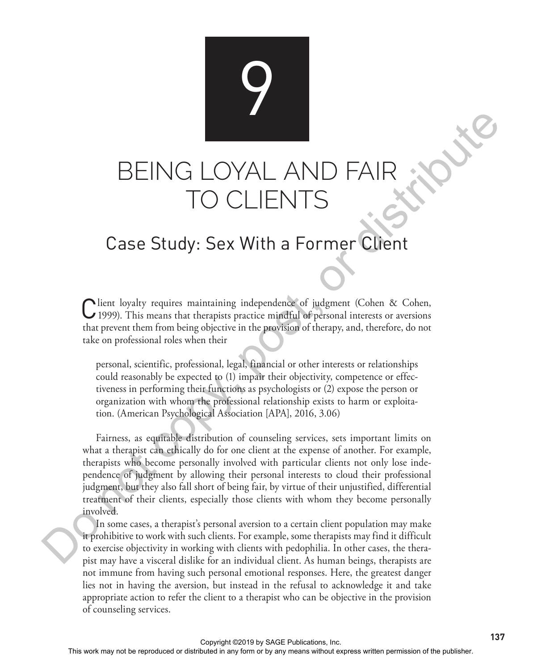

# BEING LOYAL AND FAIR TO CLIENTS

# Case Study: Sex With a Former Client

Client loyalty requires maintaining independence of judgment (Cohen & Cohen, 1999). This means that therapists practice mindful of personal interests or aversions that prevent them from being objective in the provision of therapy, and, therefore, do not take on professional roles when their

personal, scientific, professional, legal, financial or other interests or relationships could reasonably be expected to (1) impair their objectivity, competence or effectiveness in performing their functions as psychologists or (2) expose the person or organization with whom the professional relationship exists to harm or exploitation. (American Psychological Association [APA], 2016, 3.06)

Fairness, as equitable distribution of counseling services, sets important limits on what a therapist can ethically do for one client at the expense of another. For example, therapists who become personally involved with particular clients not only lose independence of judgment by allowing their personal interests to cloud their professional judgment, but they also fall short of being fair, by virtue of their unjustified, differential treatment of their clients, especially those clients with whom they become personally involved.

In some cases, a therapist's personal aversion to a certain client population may make it prohibitive to work with such clients. For example, some therapists may find it difficult to exercise objectivity in working with clients with pedophilia. In other cases, the therapist may have a visceral dislike for an individual client. As human beings, therapists are not immune from having such personal emotional responses. Here, the greatest danger lies not in having the aversion, but instead in the refusal to acknowledge it and take appropriate action to refer the client to a therapist who can be objective in the provision of counseling services. This work may not be represented or distributed or distributed in any means with the representation of the publishers of the publishers of the publishers with the publishers of the publishers of the publishers of the publi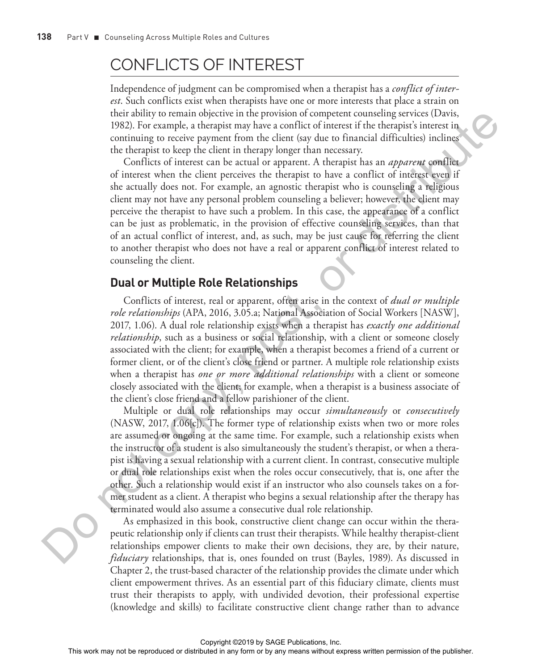### CONFLICTS OF INTEREST

Independence of judgment can be compromised when a therapist has a *conflict of interest*. Such conflicts exist when therapists have one or more interests that place a strain on their ability to remain objective in the provision of competent counseling services (Davis, 1982). For example, a therapist may have a conflict of interest if the therapist's interest in continuing to receive payment from the client (say due to financial difficulties) inclines the therapist to keep the client in therapy longer than necessary.

Conflicts of interest can be actual or apparent. A therapist has an *apparent* conflict of interest when the client perceives the therapist to have a conflict of interest even if she actually does not. For example, an agnostic therapist who is counseling a religious client may not have any personal problem counseling a believer; however, the client may perceive the therapist to have such a problem. In this case, the appearance of a conflict can be just as problematic, in the provision of effective counseling services, than that of an actual conflict of interest, and, as such, may be just cause for referring the client to another therapist who does not have a real or apparent conflict of interest related to counseling the client.

#### **Dual or Multiple Role Relationships**

Conflicts of interest, real or apparent, often arise in the context of *dual or multiple role relationships* (APA, 2016, 3.05.a; National Association of Social Workers [NASW], 2017, 1.06). A dual role relationship exists when a therapist has *exactly one additional relationship*, such as a business or social relationship, with a client or someone closely associated with the client; for example, when a therapist becomes a friend of a current or former client, or of the client's close friend or partner. A multiple role relationship exists when a therapist has *one or more additional relationships* with a client or someone closely associated with the client; for example, when a therapist is a business associate of the client's close friend and a fellow parishioner of the client. their addition of the reproduced or distributed in a provident of competent counterfact permission of the reproduced or distributed in the publisher of the copyriginal contributed in the computer of the publisher of the p

Multiple or dual role relationships may occur *simultaneously* or *consecutively* (NASW, 2017, 1.06[c]). The former type of relationship exists when two or more roles are assumed or ongoing at the same time. For example, such a relationship exists when the instructor of a student is also simultaneously the student's therapist, or when a therapist is having a sexual relationship with a current client. In contrast, consecutive multiple or dual role relationships exist when the roles occur consecutively, that is, one after the other. Such a relationship would exist if an instructor who also counsels takes on a former student as a client. A therapist who begins a sexual relationship after the therapy has terminated would also assume a consecutive dual role relationship.

As emphasized in this book, constructive client change can occur within the therapeutic relationship only if clients can trust their therapists. While healthy therapist-client relationships empower clients to make their own decisions, they are, by their nature, *fiduciary* relationships, that is, ones founded on trust (Bayles, 1989). As discussed in Chapter 2, the trust-based character of the relationship provides the climate under which client empowerment thrives. As an essential part of this fiduciary climate, clients must trust their therapists to apply, with undivided devotion, their professional expertise (knowledge and skills) to facilitate constructive client change rather than to advance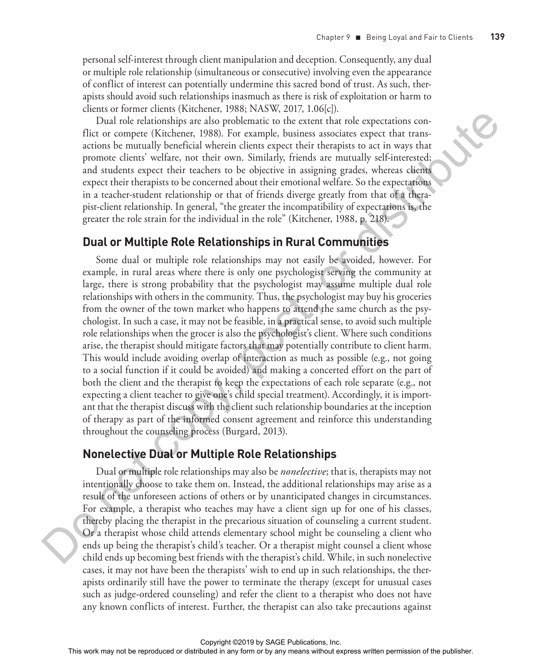personal self-interest through client manipulation and deception. Consequently, any dual or multiple role relationship (simultaneous or consecutive) involving even the appearance of conflict of interest can potentially undermine this sacred bond of trust. As such, therapists should avoid such relationships inasmuch as there is risk of exploitation or harm to clients or former clients (Kitchener, 1988; NASW, 2017, 1.06[c]).

Dual role relationships are also problematic to the extent that role expectations conflict or compete (Kitchener, 1988). For example, business associates expect that transactions be mutually beneficial wherein clients expect their therapists to act in ways that promote clients' welfare, not their own. Similarly, friends are mutually self-interested; and students expect their teachers to be objective in assigning grades, whereas clients expect their therapists to be concerned about their emotional welfare. So the expectations in a teacher-student relationship or that of friends diverge greatly from that of a therapist-client relationship. In general, "the greater the incompatibility of expectations is, the greater the role strain for the individual in the role" (Kitchener, 1988, p. 218).

#### **Dual or Multiple Role Relationships in Rural Communities**

Some dual or multiple role relationships may not easily be avoided, however. For example, in rural areas where there is only one psychologist serving the community at large, there is strong probability that the psychologist may assume multiple dual role relationships with others in the community. Thus, the psychologist may buy his groceries from the owner of the town market who happens to attend the same church as the psychologist. In such a case, it may not be feasible, in a practical sense, to avoid such multiple role relationships when the grocer is also the psychologist's client. Where such conditions arise, the therapist should mitigate factors that may potentially contribute to client harm. This would include avoiding overlap of interaction as much as possible (e.g., not going to a social function if it could be avoided) and making a concerted effort on the part of both the client and the therapist to keep the expectations of each role separate (e.g., not expecting a client teacher to give one's child special treatment). Accordingly, it is important that the therapist discuss with the client such relationship boundaries at the inception of therapy as part of the informed consent agreement and reinforce this understanding throughout the counseling process (Burgard, 2013). Thus, the repression of the rest may not be reproduced or the reproduced or any form or between the results with the results with the results of the results were controlled in the results with the results with a results w

#### **Nonelective Dual or Multiple Role Relationships**

Dual or multiple role relationships may also be *nonelective*; that is, therapists may not intentionally choose to take them on. Instead, the additional relationships may arise as a result of the unforeseen actions of others or by unanticipated changes in circumstances. For example, a therapist who teaches may have a client sign up for one of his classes, thereby placing the therapist in the precarious situation of counseling a current student. Or a therapist whose child attends elementary school might be counseling a client who ends up being the therapist's child's teacher. Or a therapist might counsel a client whose child ends up becoming best friends with the therapist's child. While, in such nonelective cases, it may not have been the therapists' wish to end up in such relationships, the therapists ordinarily still have the power to terminate the therapy (except for unusual cases such as judge-ordered counseling) and refer the client to a therapist who does not have any known conflicts of interest. Further, the therapist can also take precautions against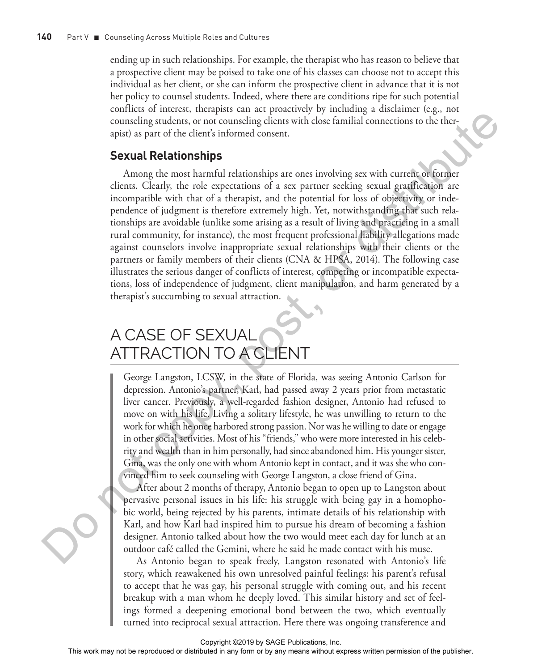ending up in such relationships. For example, the therapist who has reason to believe that a prospective client may be poised to take one of his classes can choose not to accept this individual as her client, or she can inform the prospective client in advance that it is not her policy to counsel students. Indeed, where there are conditions ripe for such potential conflicts of interest, therapists can act proactively by including a disclaimer (e.g., not counseling students, or not counseling clients with close familial connections to the therapist) as part of the client's informed consent.

#### **Sexual Relationships**

Among the most harmful relationships are ones involving sex with current or former clients. Clearly, the role expectations of a sex partner seeking sexual gratification are incompatible with that of a therapist, and the potential for loss of objectivity or independence of judgment is therefore extremely high. Yet, notwithstanding that such relationships are avoidable (unlike some arising as a result of living and practicing in a small rural community, for instance), the most frequent professional liability allegations made against counselors involve inappropriate sexual relationships with their clients or the partners or family members of their clients (CNA & HPSA, 2014). The following case illustrates the serious danger of conflicts of interest, competing or incompatible expectations, loss of independence of judgment, client manipulation, and harm generated by a therapist's succumbing to sexual attraction. counted in the control or the reproduced or distributed in any field or the publisher or the publisher or distributed in any form or by any means we are the publisher. Scaly, the rise expression of a see partner scaling s

# A CASE OF SEXUAL ATTRACTION TO A CLIENT

George Langston, LCSW, in the state of Florida, was seeing Antonio Carlson for depression. Antonio's partner, Karl, had passed away 2 years prior from metastatic liver cancer. Previously, a well-regarded fashion designer, Antonio had refused to move on with his life. Living a solitary lifestyle, he was unwilling to return to the work for which he once harbored strong passion. Nor was he willing to date or engage in other social activities. Most of his "friends," who were more interested in his celebrity and wealth than in him personally, had since abandoned him. His younger sister, Gina, was the only one with whom Antonio kept in contact, and it was she who convinced him to seek counseling with George Langston, a close friend of Gina.

After about 2 months of therapy, Antonio began to open up to Langston about pervasive personal issues in his life: his struggle with being gay in a homophobic world, being rejected by his parents, intimate details of his relationship with Karl, and how Karl had inspired him to pursue his dream of becoming a fashion designer. Antonio talked about how the two would meet each day for lunch at an outdoor café called the Gemini, where he said he made contact with his muse.

As Antonio began to speak freely, Langston resonated with Antonio's life story, which reawakened his own unresolved painful feelings: his parent's refusal to accept that he was gay, his personal struggle with coming out, and his recent breakup with a man whom he deeply loved. This similar history and set of feelings formed a deepening emotional bond between the two, which eventually turned into reciprocal sexual attraction. Here there was ongoing transference and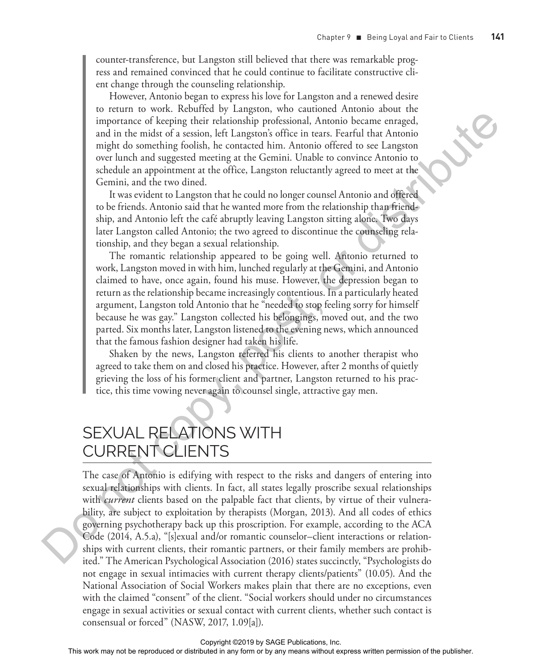counter-transference, but Langston still believed that there was remarkable progress and remained convinced that he could continue to facilitate constructive client change through the counseling relationship.

However, Antonio began to express his love for Langston and a renewed desire to return to work. Rebuffed by Langston, who cautioned Antonio about the importance of keeping their relationship professional, Antonio became enraged, and in the midst of a session, left Langston's office in tears. Fearful that Antonio might do something foolish, he contacted him. Antonio offered to see Langston over lunch and suggested meeting at the Gemini. Unable to convince Antonio to schedule an appointment at the office, Langston reluctantly agreed to meet at the Gemini, and the two dined.

It was evident to Langston that he could no longer counsel Antonio and offered to be friends. Antonio said that he wanted more from the relationship than friendship, and Antonio left the café abruptly leaving Langston sitting alone. Two days later Langston called Antonio; the two agreed to discontinue the counseling relationship, and they began a sexual relationship.

The romantic relationship appeared to be going well. Antonio returned to work, Langston moved in with him, lunched regularly at the Gemini, and Antonio claimed to have, once again, found his muse. However, the depression began to return as the relationship became increasingly contentious. In a particularly heated argument, Langston told Antonio that he "needed to stop feeling sorry for himself because he was gay." Langston collected his belongings, moved out, and the two parted. Six months later, Langston listened to the evening news, which announced that the famous fashion designer had taken his life.

Shaken by the news, Langston referred his clients to another therapist who agreed to take them on and closed his practice. However, after 2 months of quietly grieving the loss of his former client and partner, Langston returned to his practice, this time vowing never again to counsel single, attractive gay men.

# SEXUAL RELATIONS WITH CURRENT CLIENTS

The case of Antonio is edifying with respect to the risks and dangers of entering into sexual relationships with clients. In fact, all states legally proscribe sexual relationships with *current* clients based on the palpable fact that clients, by virtue of their vulnerability, are subject to exploitation by therapists (Morgan, 2013). And all codes of ethics governing psychotherapy back up this proscription. For example, according to the ACA Code (2014, A.5.a), "[s]exual and/or romantic counselor–client interactions or relationships with current clients, their romantic partners, or their family members are prohibited." The American Psychological Association (2016) states succinctly, "Psychologists do not engage in sexual intimacies with current therapy clients/patients" (10.05). And the National Association of Social Workers makes plain that there are no exceptions, even with the claimed "consent" of the client. "Social workers should under no circumstances engage in sexual activities or sexual contact with current clients, whether such contact is consensual or forced" (NASW, 2017, 1.09[a]). The results of the reproduced or distributed in any methods in the results of the control or the results of the control or the results of the control or the components of the publisher. Another or the components are place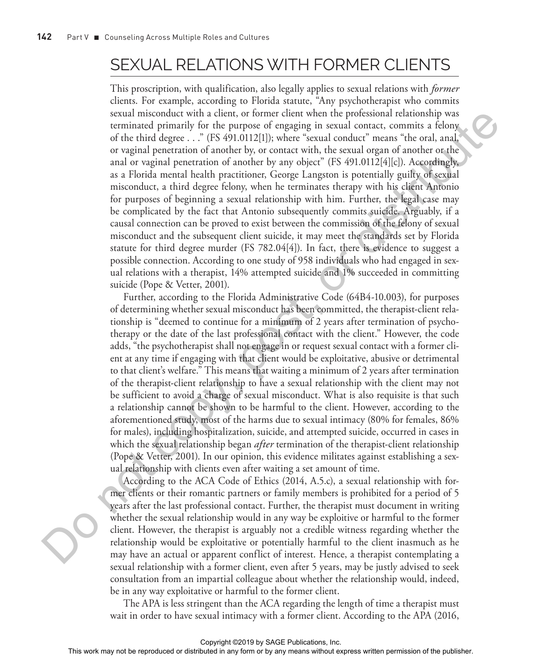# SEXUAL RELATIONS WITH FORMER CLIENTS

This proscription, with qualification, also legally applies to sexual relations with *former* clients. For example, according to Florida statute, "Any psychotherapist who commits sexual misconduct with a client, or former client when the professional relationship was terminated primarily for the purpose of engaging in sexual contact, commits a felony of the third degree . . ." (FS 491.0112[1]); where "sexual conduct" means "the oral, anal, or vaginal penetration of another by, or contact with, the sexual organ of another or the anal or vaginal penetration of another by any object" (FS 491.0112[4][c]). Accordingly, as a Florida mental health practitioner, George Langston is potentially guilty of sexual misconduct, a third degree felony, when he terminates therapy with his client Antonio for purposes of beginning a sexual relationship with him. Further, the legal case may be complicated by the fact that Antonio subsequently commits suicide. Arguably, if a causal connection can be proved to exist between the commission of the felony of sexual misconduct and the subsequent client suicide, it may meet the standards set by Florida statute for third degree murder (FS 782.04[4]). In fact, there is evidence to suggest a possible connection. According to one study of 958 individuals who had engaged in sexual relations with a therapist, 14% attempted suicide and 1% succeeded in committing suicide (Pope & Vetter, 2001).

Further, according to the Florida Administrative Code (64B4-10.003), for purposes of determining whether sexual misconduct has been committed, the therapist-client relationship is "deemed to continue for a minimum of 2 years after termination of psychotherapy or the date of the last professional contact with the client." However, the code adds, "the psychotherapist shall not engage in or request sexual contact with a former client at any time if engaging with that client would be exploitative, abusive or detrimental to that client's welfare." This means that waiting a minimum of 2 years after termination of the therapist-client relationship to have a sexual relationship with the client may not be sufficient to avoid a charge of sexual misconduct. What is also requisite is that such a relationship cannot be shown to be harmful to the client. However, according to the aforementioned study, most of the harms due to sexual intimacy (80% for females, 86% for males), including hospitalization, suicide, and attempted suicide, occurred in cases in which the sexual relationship began *after* termination of the therapist-client relationship (Pope & Vetter, 2001). In our opinion, this evidence militates against establishing a sexual relationship with clients even after waiting a set amount of time. Security and the rest of the rest of the rest or distributed or distributed in any of the relationship was of the rest or distributed in any of the relationship of the rest control or distributed in any form or the publis

According to the ACA Code of Ethics (2014, A.5.c), a sexual relationship with former clients or their romantic partners or family members is prohibited for a period of 5 years after the last professional contact. Further, the therapist must document in writing whether the sexual relationship would in any way be exploitive or harmful to the former client. However, the therapist is arguably not a credible witness regarding whether the relationship would be exploitative or potentially harmful to the client inasmuch as he may have an actual or apparent conflict of interest. Hence, a therapist contemplating a sexual relationship with a former client, even after 5 years, may be justly advised to seek consultation from an impartial colleague about whether the relationship would, indeed, be in any way exploitative or harmful to the former client.

The APA is less stringent than the ACA regarding the length of time a therapist must wait in order to have sexual intimacy with a former client. According to the APA (2016,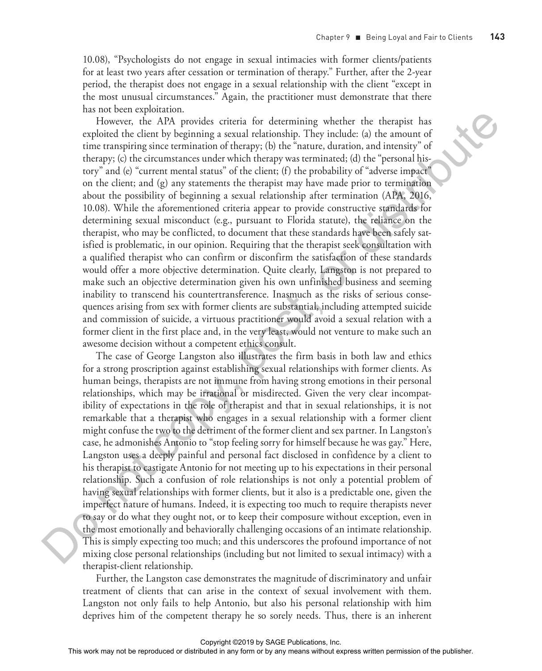10.08), "Psychologists do not engage in sexual intimacies with former clients/patients for at least two years after cessation or termination of therapy." Further, after the 2-year period, the therapist does not engage in a sexual relationship with the client "except in the most unusual circumstances." Again, the practitioner must demonstrate that there has not been exploitation.

However, the APA provides criteria for determining whether the therapist has exploited the client by beginning a sexual relationship. They include: (a) the amount of time transpiring since termination of therapy; (b) the "nature, duration, and intensity" of therapy; (c) the circumstances under which therapy was terminated; (d) the "personal history" and (e) "current mental status" of the client; (f) the probability of "adverse impact" on the client; and (g) any statements the therapist may have made prior to termination about the possibility of beginning a sexual relationship after termination (APA, 2016, 10.08). While the aforementioned criteria appear to provide constructive standards for determining sexual misconduct (e.g., pursuant to Florida statute), the reliance on the therapist, who may be conflicted, to document that these standards have been safely satisfied is problematic, in our opinion. Requiring that the therapist seek consultation with a qualified therapist who can confirm or disconfirm the satisfaction of these standards would offer a more objective determination. Quite clearly, Langston is not prepared to make such an objective determination given his own unfinished business and seeming inability to transcend his countertransference. Inasmuch as the risks of serious consequences arising from sex with former clients are substantial, including attempted suicide and commission of suicide, a virtuous practitioner would avoid a sexual relation with a former client in the first place and, in the very least, would not venture to make such an awesome decision without a competent ethics consult. This work may not the rest of the rest of the rest or distributed in the<br>may not be represented or distributed in a may not be reproduced in a<br>single system or by an any means with the reproduced in a may not be reproduce

The case of George Langston also illustrates the firm basis in both law and ethics for a strong proscription against establishing sexual relationships with former clients. As human beings, therapists are not immune from having strong emotions in their personal relationships, which may be irrational or misdirected. Given the very clear incompatibility of expectations in the role of therapist and that in sexual relationships, it is not remarkable that a therapist who engages in a sexual relationship with a former client might confuse the two to the detriment of the former client and sex partner. In Langston's case, he admonishes Antonio to "stop feeling sorry for himself because he was gay." Here, Langston uses a deeply painful and personal fact disclosed in confidence by a client to his therapist to castigate Antonio for not meeting up to his expectations in their personal relationship. Such a confusion of role relationships is not only a potential problem of having sexual relationships with former clients, but it also is a predictable one, given the imperfect nature of humans. Indeed, it is expecting too much to require therapists never to say or do what they ought not, or to keep their composure without exception, even in the most emotionally and behaviorally challenging occasions of an intimate relationship. This is simply expecting too much; and this underscores the profound importance of not mixing close personal relationships (including but not limited to sexual intimacy) with a therapist-client relationship.

Further, the Langston case demonstrates the magnitude of discriminatory and unfair treatment of clients that can arise in the context of sexual involvement with them. Langston not only fails to help Antonio, but also his personal relationship with him deprives him of the competent therapy he so sorely needs. Thus, there is an inherent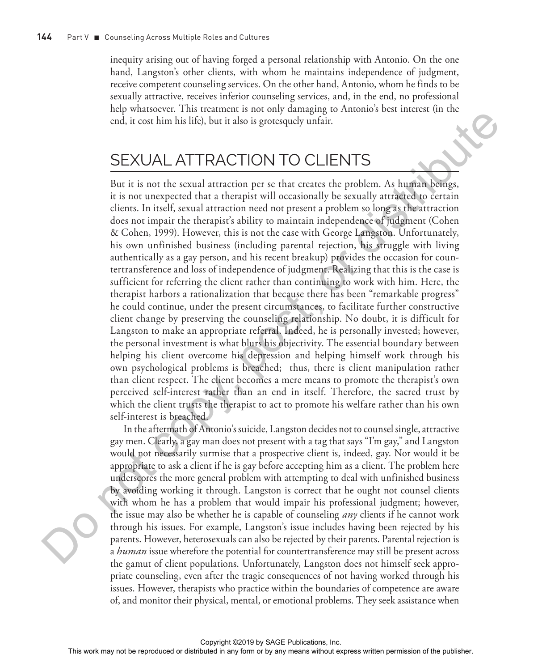inequity arising out of having forged a personal relationship with Antonio. On the one hand, Langston's other clients, with whom he maintains independence of judgment, receive competent counseling services. On the other hand, Antonio, whom he finds to be sexually attractive, receives inferior counseling services, and, in the end, no professional help whatsoever. This treatment is not only damaging to Antonio's best interest (in the end, it cost him his life), but it also is grotesquely unfair.

# SEXUAL ATTRACTION TO CLIENTS

But it is not the sexual attraction per se that creates the problem. As human beings, it is not unexpected that a therapist will occasionally be sexually attracted to certain clients. In itself, sexual attraction need not present a problem so long as the attraction does not impair the therapist's ability to maintain independence of judgment (Cohen & Cohen, 1999). However, this is not the case with George Langston. Unfortunately, his own unfinished business (including parental rejection, his struggle with living authentically as a gay person, and his recent breakup) provides the occasion for countertransference and loss of independence of judgment. Realizing that this is the case is sufficient for referring the client rather than continuing to work with him. Here, the therapist harbors a rationalization that because there has been "remarkable progress" he could continue, under the present circumstances, to facilitate further constructive client change by preserving the counseling relationship. No doubt, it is difficult for Langston to make an appropriate referral. Indeed, he is personally invested; however, the personal investment is what blurs his objectivity. The essential boundary between helping his client overcome his depression and helping himself work through his own psychological problems is breached; thus, there is client manipulation rather than client respect. The client becomes a mere means to promote the therapist's own perceived self-interest rather than an end in itself. Therefore, the sacred trust by which the client trusts the therapist to act to promote his welfare rather than his own self-interest is breached. The record may not be reproduced or the reproduced or distributed in any means with the results with the results with the results with the results of the results of the results with the results with the results of the resu

In the aftermath of Antonio's suicide, Langston decides not to counsel single, attractive gay men. Clearly, a gay man does not present with a tag that says "I'm gay," and Langston would not necessarily surmise that a prospective client is, indeed, gay. Nor would it be appropriate to ask a client if he is gay before accepting him as a client. The problem here underscores the more general problem with attempting to deal with unfinished business by avoiding working it through. Langston is correct that he ought not counsel clients with whom he has a problem that would impair his professional judgment; however, the issue may also be whether he is capable of counseling *any* clients if he cannot work through his issues. For example, Langston's issue includes having been rejected by his parents. However, heterosexuals can also be rejected by their parents. Parental rejection is a *human* issue wherefore the potential for countertransference may still be present across the gamut of client populations. Unfortunately, Langston does not himself seek appropriate counseling, even after the tragic consequences of not having worked through his issues. However, therapists who practice within the boundaries of competence are aware of, and monitor their physical, mental, or emotional problems. They seek assistance when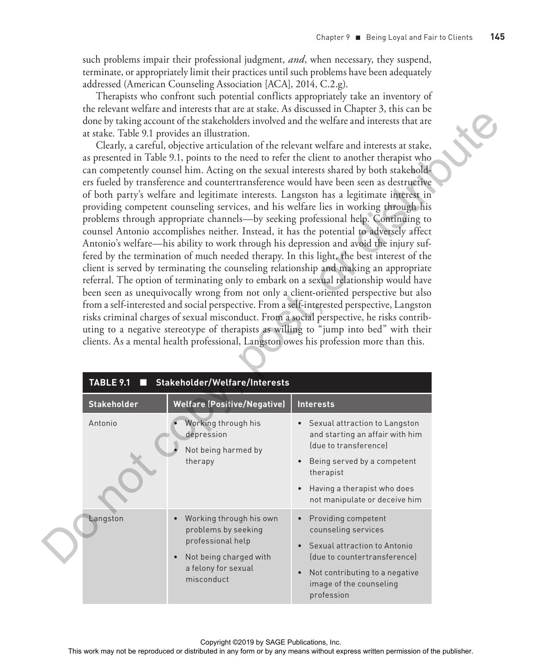such problems impair their professional judgment, *and*, when necessary, they suspend, terminate, or appropriately limit their practices until such problems have been adequately addressed (American Counseling Association [ACA], 2014, C.2.g).

Therapists who confront such potential conflicts appropriately take an inventory of the relevant welfare and interests that are at stake. As discussed in Chapter 3, this can be done by taking account of the stakeholders involved and the welfare and interests that are at stake. Table 9.1 provides an illustration.

| done by taking account of the stakeholders involved and the welfare and interests that are<br>at stake. Table 9.1 provides an illustration.<br>Clearly, a careful, objective articulation of the relevant welfare and interests at stake,<br>as presented in Table 9.1, points to the need to refer the client to another therapist who<br>can competently counsel him. Acting on the sexual interests shared by both stakehold-<br>ers fueled by transference and countertransference would have been seen as destructive<br>of both party's welfare and legitimate interests. Langston has a legitimate interest in<br>providing competent counseling services, and his welfare lies in working through his<br>problems through appropriate channels-by seeking professional help. Continuing to<br>counsel Antonio accomplishes neither. Instead, it has the potential to adversely affect<br>Antonio's welfare—his ability to work through his depression and avoid the injury suf-<br>fered by the termination of much needed therapy. In this light, the best interest of the<br>client is served by terminating the counseling relationship and making an appropriate<br>referral. The option of terminating only to embark on a sexual relationship would have<br>been seen as unequivocally wrong from not only a client-oriented perspective but also<br>from a self-interested and social perspective. From a self-interested perspective, Langston<br>risks criminal charges of sexual misconduct. From a social perspective, he risks contrib-<br>uting to a negative stereotype of therapists as willing to "jump into bed" with their<br>clients. As a mental health professional, Langston owes his profession more than this. |                                                                                                                                                                                                                                                                                                                                                                                                               |
|------------------------------------------------------------------------------------------------------------------------------------------------------------------------------------------------------------------------------------------------------------------------------------------------------------------------------------------------------------------------------------------------------------------------------------------------------------------------------------------------------------------------------------------------------------------------------------------------------------------------------------------------------------------------------------------------------------------------------------------------------------------------------------------------------------------------------------------------------------------------------------------------------------------------------------------------------------------------------------------------------------------------------------------------------------------------------------------------------------------------------------------------------------------------------------------------------------------------------------------------------------------------------------------------------------------------------------------------------------------------------------------------------------------------------------------------------------------------------------------------------------------------------------------------------------------------------------------------------------------------------------------------------------------------------------------------------------------------------------------------|---------------------------------------------------------------------------------------------------------------------------------------------------------------------------------------------------------------------------------------------------------------------------------------------------------------------------------------------------------------------------------------------------------------|
| Stakeholder/Welfare/Interests<br>TABLE 9.1<br><b>Welfare (Positive/Negative)</b><br>Stakeholder<br>Working through his<br>Antonio<br>depression<br>Not being harmed by<br>therapy<br>Langston<br>Working through his own<br>problems by seeking<br>professional help<br>Not being charged with<br>a felony for sexual<br>misconduct                                                                                                                                                                                                                                                                                                                                                                                                                                                                                                                                                                                                                                                                                                                                                                                                                                                                                                                                                                                                                                                                                                                                                                                                                                                                                                                                                                                                            | Interests<br>• Sexual attraction to Langston<br>and starting an affair with him<br>(due to transference)<br>Being served by a competent<br>therapist<br>Having a therapist who does<br>not manipulate or deceive him<br>Providing competent<br>counseling services<br>Sexual attraction to Antonio<br>(due to countertransference)<br>Not contributing to a negative<br>image of the counseling<br>profession |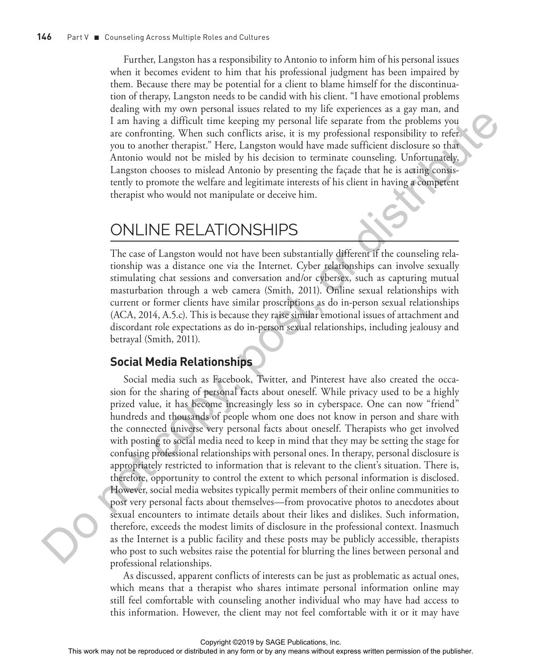Further, Langston has a responsibility to Antonio to inform him of his personal issues when it becomes evident to him that his professional judgment has been impaired by them. Because there may be potential for a client to blame himself for the discontinuation of therapy, Langston needs to be candid with his client. "I have emotional problems dealing with my own personal issues related to my life experiences as a gay man, and I am having a difficult time keeping my personal life separate from the problems you are confronting. When such conflicts arise, it is my professional responsibility to refer you to another therapist." Here, Langston would have made sufficient disclosure so that Antonio would not be misled by his decision to terminate counseling. Unfortunately, Langston chooses to mislead Antonio by presenting the façade that he is acting consistently to promote the welfare and legitimate interests of his client in having a competent therapist who would not manipulate or deceive him.

### ONLINE RELATIONSHIPS

The case of Langston would not have been substantially different if the counseling relationship was a distance one via the Internet. Cyber relationships can involve sexually stimulating chat sessions and conversation and/or cybersex, such as capturing mutual masturbation through a web camera (Smith, 2011). Online sexual relationships with current or former clients have similar proscriptions as do in-person sexual relationships (ACA, 2014, A.5.c). This is because they raise similar emotional issues of attachment and discordant role expectations as do in-person sexual relationships, including jealousy and betrayal (Smith, 2011).

#### **Social Media Relationships**

Social media such as Facebook, Twitter, and Pinterest have also created the occasion for the sharing of personal facts about oneself. While privacy used to be a highly prized value, it has become increasingly less so in cyberspace. One can now "friend" hundreds and thousands of people whom one does not know in person and share with the connected universe very personal facts about oneself. Therapists who get involved with posting to social media need to keep in mind that they may be setting the stage for confusing professional relationships with personal ones. In therapy, personal disclosure is appropriately restricted to information that is relevant to the client's situation. There is, therefore, opportunity to control the extent to which personal information is disclosed. However, social media websites typically permit members of their online communities to post very personal facts about themselves—from provocative photos to anecdotes about sexual encounters to intimate details about their likes and dislikes. Such information, therefore, exceeds the modest limits of disclosure in the professional context. Inasmuch as the Internet is a public facility and these posts may be publicly accessible, therapists who post to such websites raise the potential for blurring the lines between personal and professional relationships. The most may not be represented in the represented in the representation of the publisher and the reproduced in a state of the representation of the representation of the representation of the representation of the most ma

As discussed, apparent conflicts of interests can be just as problematic as actual ones, which means that a therapist who shares intimate personal information online may still feel comfortable with counseling another individual who may have had access to this information. However, the client may not feel comfortable with it or it may have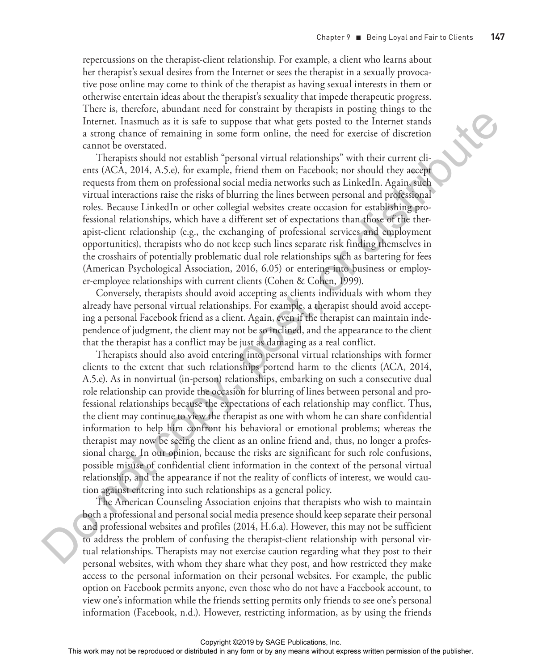repercussions on the therapist-client relationship. For example, a client who learns about her therapist's sexual desires from the Internet or sees the therapist in a sexually provocative pose online may come to think of the therapist as having sexual interests in them or otherwise entertain ideas about the therapist's sexuality that impede therapeutic progress. There is, therefore, abundant need for constraint by therapists in posting things to the Internet. Inasmuch as it is safe to suppose that what gets posted to the Internet stands a strong chance of remaining in some form online, the need for exercise of discretion cannot be overstated.

Therapists should not establish "personal virtual relationships" with their current clients (ACA, 2014, A.5.e), for example, friend them on Facebook; nor should they accept requests from them on professional social media networks such as LinkedIn. Again, such virtual interactions raise the risks of blurring the lines between personal and professional roles. Because LinkedIn or other collegial websites create occasion for establishing professional relationships, which have a different set of expectations than those of the therapist-client relationship (e.g., the exchanging of professional services and employment opportunities), therapists who do not keep such lines separate risk finding themselves in the crosshairs of potentially problematic dual role relationships such as bartering for fees (American Psychological Association, 2016, 6.05) or entering into business or employer-employee relationships with current clients (Cohen & Cohen, 1999).

Conversely, therapists should avoid accepting as clients individuals with whom they already have personal virtual relationships. For example, a therapist should avoid accepting a personal Facebook friend as a client. Again, even if the therapist can maintain independence of judgment, the client may not be so inclined, and the appearance to the client that the therapist has a conflict may be just as damaging as a real conflict.

Therapists should also avoid entering into personal virtual relationships with former clients to the extent that such relationships portend harm to the clients (ACA, 2014, A.5.e). As in nonvirtual (in-person) relationships, embarking on such a consecutive dual role relationship can provide the occasion for blurring of lines between personal and professional relationships because the expectations of each relationship may conflict. Thus, the client may continue to view the therapist as one with whom he can share confidential information to help him confront his behavioral or emotional problems; whereas the therapist may now be seeing the client as an online friend and, thus, no longer a professional charge. In our opinion, because the risks are significant for such role confusions, possible misuse of confidential client information in the context of the personal virtual relationship, and the appearance if not the reality of conflicts of interest, we would caution against entering into such relationships as a general policy. Internot, the<br>annuards as it is also the publisheric map be represented to the hermogen<br>state of syncality in some between or distributed in the result of the<br>stributed in any form or between or distributed in any form or

The American Counseling Association enjoins that therapists who wish to maintain both a professional and personal social media presence should keep separate their personal and professional websites and profiles (2014, H.6.a). However, this may not be sufficient to address the problem of confusing the therapist-client relationship with personal virtual relationships. Therapists may not exercise caution regarding what they post to their personal websites, with whom they share what they post, and how restricted they make access to the personal information on their personal websites. For example, the public option on Facebook permits anyone, even those who do not have a Facebook account, to view one's information while the friends setting permits only friends to see one's personal information (Facebook, n.d.). However, restricting information, as by using the friends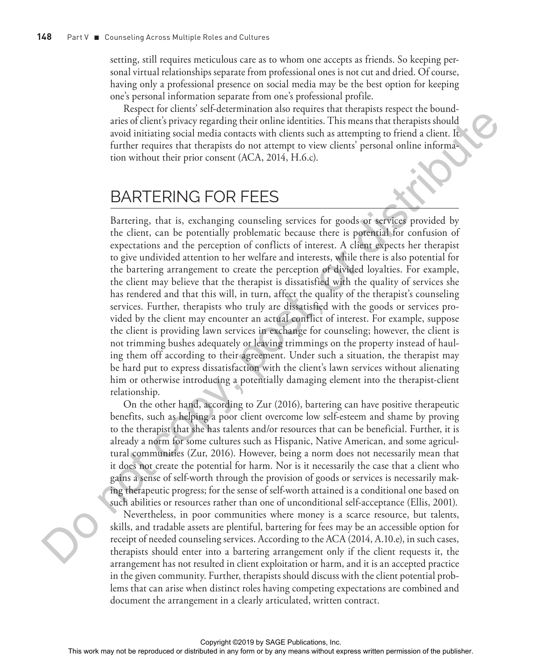setting, still requires meticulous care as to whom one accepts as friends. So keeping personal virtual relationships separate from professional ones is not cut and dried. Of course, having only a professional presence on social media may be the best option for keeping one's personal information separate from one's professional profile.

Respect for clients' self-determination also requires that therapists respect the boundaries of client's privacy regarding their online identities. This means that therapists should avoid initiating social media contacts with clients such as attempting to friend a client. It further requires that therapists do not attempt to view clients' personal online information without their prior consent (ACA, 2014, H.6.c).

## BARTERING FOR FEES

Bartering, that is, exchanging counseling services for goods or services provided by the client, can be potentially problematic because there is potential for confusion of expectations and the perception of conflicts of interest. A client expects her therapist to give undivided attention to her welfare and interests, while there is also potential for the bartering arrangement to create the perception of divided loyalties. For example, the client may believe that the therapist is dissatisfied with the quality of services she has rendered and that this will, in turn, affect the quality of the therapist's counseling services. Further, therapists who truly are dissatisfied with the goods or services provided by the client may encounter an actual conflict of interest. For example, suppose the client is providing lawn services in exchange for counseling; however, the client is not trimming bushes adequately or leaving trimmings on the property instead of hauling them off according to their agreement. Under such a situation, the therapist may be hard put to express dissatisfaction with the client's lawn services without alienating him or otherwise introducing a potentially damaging element into the therapist-client relationship. This work may not be repress that the control or distributed in any chemical chemical state of the reproduced or distributed in any form or by any means with chemical chemical chemical chemical chemical chemical chemical

On the other hand, according to Zur (2016), bartering can have positive therapeutic benefits, such as helping a poor client overcome low self-esteem and shame by proving to the therapist that she has talents and/or resources that can be beneficial. Further, it is already a norm for some cultures such as Hispanic, Native American, and some agricultural communities (Zur, 2016). However, being a norm does not necessarily mean that it does not create the potential for harm. Nor is it necessarily the case that a client who gains a sense of self-worth through the provision of goods or services is necessarily making therapeutic progress; for the sense of self-worth attained is a conditional one based on such abilities or resources rather than one of unconditional self-acceptance (Ellis, 2001).

Nevertheless, in poor communities where money is a scarce resource, but talents, skills, and tradable assets are plentiful, bartering for fees may be an accessible option for receipt of needed counseling services. According to the ACA (2014, A.10.e), in such cases, therapists should enter into a bartering arrangement only if the client requests it, the arrangement has not resulted in client exploitation or harm, and it is an accepted practice in the given community. Further, therapists should discuss with the client potential problems that can arise when distinct roles having competing expectations are combined and document the arrangement in a clearly articulated, written contract.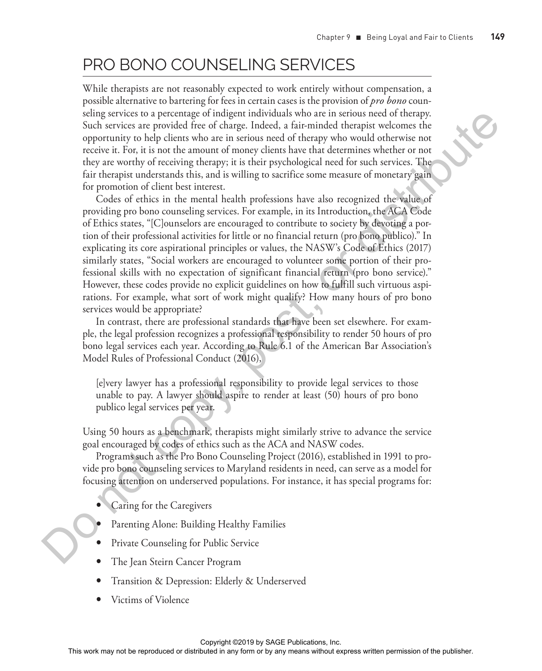# PRO BONO COUNSELING SERVICES

While therapists are not reasonably expected to work entirely without compensation, a possible alternative to bartering for fees in certain cases is the provision of *pro bono* counseling services to a percentage of indigent individuals who are in serious need of therapy. Such services are provided free of charge. Indeed, a fair-minded therapist welcomes the opportunity to help clients who are in serious need of therapy who would otherwise not receive it. For, it is not the amount of money clients have that determines whether or not they are worthy of receiving therapy; it is their psychological need for such services. The fair therapist understands this, and is willing to sacrifice some measure of monetary gain for promotion of client best interest.

Codes of ethics in the mental health professions have also recognized the value of providing pro bono counseling services. For example, in its Introduction, the ACA Code of Ethics states, "[C]ounselors are encouraged to contribute to society by devoting a portion of their professional activities for little or no financial return (pro bono publico)." In explicating its core aspirational principles or values, the NASW's Code of Ethics (2017) similarly states, "Social workers are encouraged to volunteer some portion of their professional skills with no expectation of significant financial return (pro bono service)." However, these codes provide no explicit guidelines on how to fulfill such virtuous aspirations. For example, what sort of work might qualify? How many hours of pro bono services would be appropriate? Sing termines or a procedure or distributed in the act in serious medicination or the publisher or distributed or distributed in any form or by any means with the received or distributed in any form or the publisher. The

In contrast, there are professional standards that have been set elsewhere. For example, the legal profession recognizes a professional responsibility to render 50 hours of pro bono legal services each year. According to Rule 6.1 of the American Bar Association's Model Rules of Professional Conduct (2016),

[e]very lawyer has a professional responsibility to provide legal services to those unable to pay. A lawyer should aspire to render at least (50) hours of pro bono publico legal services per year.

Using 50 hours as a benchmark, therapists might similarly strive to advance the service goal encouraged by codes of ethics such as the ACA and NASW codes.

Programs such as the Pro Bono Counseling Project (2016), established in 1991 to provide pro bono counseling services to Maryland residents in need, can serve as a model for focusing attention on underserved populations. For instance, it has special programs for:

- Caring for the Caregivers
- Parenting Alone: Building Healthy Families
- Private Counseling for Public Service
- The Jean Steirn Cancer Program
- Transition & Depression: Elderly & Underserved
- Victims of Violence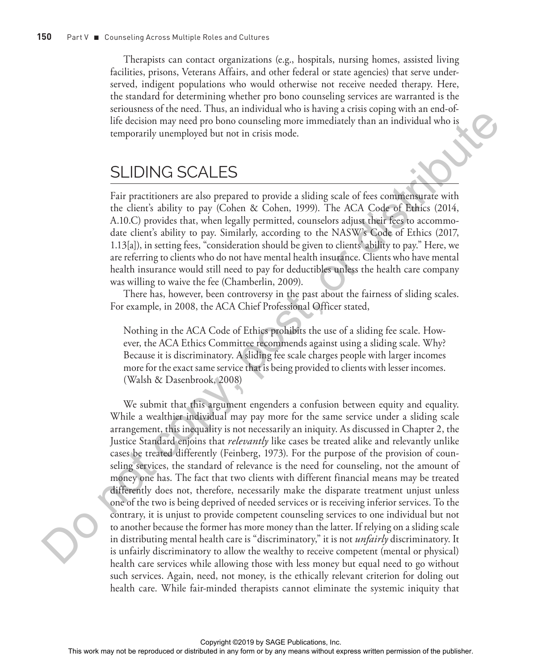Therapists can contact organizations (e.g., hospitals, nursing homes, assisted living facilities, prisons, Veterans Affairs, and other federal or state agencies) that serve underserved, indigent populations who would otherwise not receive needed therapy. Here, the standard for determining whether pro bono counseling services are warranted is the seriousness of the need. Thus, an individual who is having a crisis coping with an end-oflife decision may need pro bono counseling more immediately than an individual who is temporarily unemployed but not in crisis mode.

### SLIDING SCALES

Fair practitioners are also prepared to provide a sliding scale of fees commensurate with the client's ability to pay (Cohen & Cohen, 1999). The ACA Code of Ethics (2014, A.10.C) provides that, when legally permitted, counselors adjust their fees to accommodate client's ability to pay. Similarly, according to the NASW's Code of Ethics (2017, 1.13[a]), in setting fees, "consideration should be given to clients' ability to pay." Here, we are referring to clients who do not have mental health insurance. Clients who have mental health insurance would still need to pay for deductibles unless the health care company was willing to waive the fee (Chamberlin, 2009).

There has, however, been controversy in the past about the fairness of sliding scales. For example, in 2008, the ACA Chief Professional Officer stated,

Nothing in the ACA Code of Ethics prohibits the use of a sliding fee scale. However, the ACA Ethics Committee recommends against using a sliding scale. Why? Because it is discriminatory. A sliding fee scale charges people with larger incomes more for the exact same service that is being provided to clients with lesser incomes. (Walsh & Dasenbrook, 2008)

We submit that this argument engenders a confusion between equity and equality. While a wealthier individual may pay more for the same service under a sliding scale arrangement, this inequality is not necessarily an iniquity. As discussed in Chapter 2, the Justice Standard enjoins that *relevantly* like cases be treated alike and relevantly unlike cases be treated differently (Feinberg, 1973). For the purpose of the provision of counseling services, the standard of relevance is the need for counseling, not the amount of money one has. The fact that two clients with different financial means may be treated differently does not, therefore, necessarily make the disparate treatment unjust unless one of the two is being deprived of needed services or is receiving inferior services. To the contrary, it is unjust to provide competent counseling services to one individual but not to another because the former has more money than the latter. If relying on a sliding scale in distributing mental health care is "discriminatory," it is not *unfairly* discriminatory. It is unfairly discriminatory to allow the wealthy to receive competent (mental or physical) health care services while allowing those with less money but equal need to go without such services. Again, need, not money, is the ethically relevant criterion for doling out health care. While fair-minded therapists cannot eliminate the systemic iniquity that The decision may note by both controlline may not be reproduced to the reproduced or distributed in any form or both  $\sim$  Barry and the publisher and the publisher or the publisher. The publisher of the publishers are als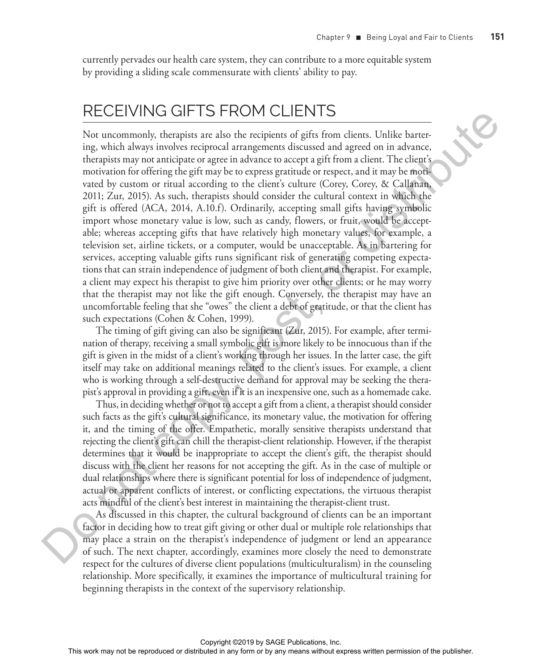currently pervades our health care system, they can contribute to a more equitable system by providing a sliding scale commensurate with clients' ability to pay.

### RECEIVING GIFTS FROM CLIENTS

Not uncommonly, therapists are also the recipients of gifts from clients. Unlike bartering, which always involves reciprocal arrangements discussed and agreed on in advance, therapists may not anticipate or agree in advance to accept a gift from a client. The client's motivation for offering the gift may be to express gratitude or respect, and it may be motivated by custom or ritual according to the client's culture (Corey, Corey, & Callanan, 2011; Zur, 2015). As such, therapists should consider the cultural context in which the gift is offered (ACA, 2014, A.10.f). Ordinarily, accepting small gifts having symbolic import whose monetary value is low, such as candy, flowers, or fruit, would be acceptable; whereas accepting gifts that have relatively high monetary values, for example, a television set, airline tickets, or a computer, would be unacceptable. As in bartering for services, accepting valuable gifts runs significant risk of generating competing expectations that can strain independence of judgment of both client and therapist. For example, a client may expect his therapist to give him priority over other clients; or he may worry that the therapist may not like the gift enough. Conversely, the therapist may have an uncomfortable feeling that she "owes" the client a debt of gratitude, or that the client has such expectations (Cohen & Cohen, 1999). FICC-IVIVIV CHIT is the reproduced or distributed in a state of the reproduced in a state of the results and the state of the state of the state of the state of the state of the state of the publisher. The comparison of t

The timing of gift giving can also be significant (Zur, 2015). For example, after termination of therapy, receiving a small symbolic gift is more likely to be innocuous than if the gift is given in the midst of a client's working through her issues. In the latter case, the gift itself may take on additional meanings related to the client's issues. For example, a client who is working through a self-destructive demand for approval may be seeking the therapist's approval in providing a gift, even if it is an inexpensive one, such as a homemade cake.

Thus, in deciding whether or not to accept a gift from a client, a therapist should consider such facts as the gift's cultural significance, its monetary value, the motivation for offering it, and the timing of the offer. Empathetic, morally sensitive therapists understand that rejecting the client's gift can chill the therapist-client relationship. However, if the therapist determines that it would be inappropriate to accept the client's gift, the therapist should discuss with the client her reasons for not accepting the gift. As in the case of multiple or dual relationships where there is significant potential for loss of independence of judgment, actual or apparent conflicts of interest, or conflicting expectations, the virtuous therapist acts mindful of the client's best interest in maintaining the therapist-client trust.

As discussed in this chapter, the cultural background of clients can be an important factor in deciding how to treat gift giving or other dual or multiple role relationships that may place a strain on the therapist's independence of judgment or lend an appearance of such. The next chapter, accordingly, examines more closely the need to demonstrate respect for the cultures of diverse client populations (multiculturalism) in the counseling relationship. More specifically, it examines the importance of multicultural training for beginning therapists in the context of the supervisory relationship.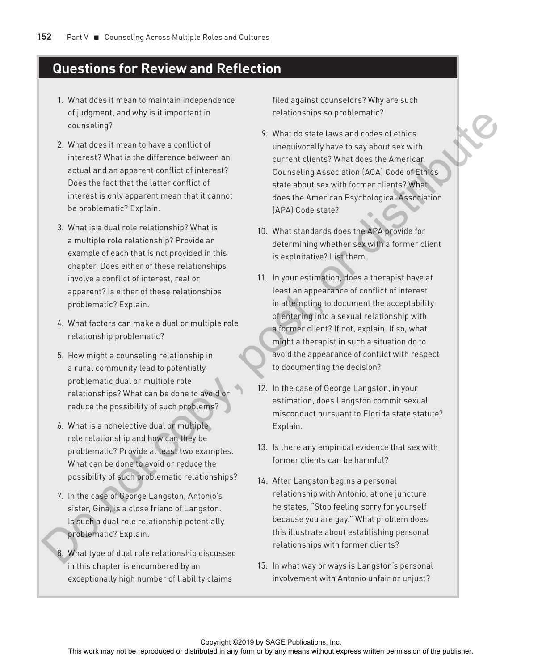### **Questions for Review and Reflection**

- 1. What does it mean to maintain independence of judgment, and why is it important in counseling?
- 2. What does it mean to have a conflict of interest? What is the difference between an actual and an apparent conflict of interest? Does the fact that the latter conflict of interest is only apparent mean that it cannot be problematic? Explain.
- 3. What is a dual role relationship? What is a multiple role relationship? Provide an example of each that is not provided in this chapter. Does either of these relationships involve a conflict of interest, real or apparent? Is either of these relationships problematic? Explain.
- 4. What factors can make a dual or multiple role relationship problematic?
- 5. How might a counseling relationship in a rural community lead to potentially problematic dual or multiple role relationships? What can be done to avoid or reduce the possibility of such problems?
- 6. What is a nonelective dual or multiple role relationship and how can they be problematic? Provide at least two examples. What can be done to avoid or reduce the possibility of such problematic relationships?
- 7. In the case of George Langston, Antonio's sister, Gina, is a close friend of Langston. Is such a dual role relationship potentially problematic? Explain.
- 8. What type of dual role relationship discussed in this chapter is encumbered by an exceptionally high number of liability claims

filed against counselors? Why are such relationships so problematic?

- 9. What do state laws and codes of ethics unequivocally have to say about sex with current clients? What does the American Counseling Association (ACA) Code of Ethics state about sex with former clients? What does the American Psychological Association (APA) Code state?
- 10. What standards does the APA provide for determining whether sex with a former client is exploitative? List them.
- 11. In your estimation, does a therapist have at least an appearance of conflict of interest in attempting to document the acceptability of entering into a sexual relationship with a former client? If not, explain. If so, what might a therapist in such a situation do to avoid the appearance of conflict with respect to documenting the decision? Court may be reproduced or the reproduced or distributed or distributed in any produced or distributed or distributed in a produced in a multiplum in a produced in a produced in a produced in a produced in a produced in a
	- 12. In the case of George Langston, in your estimation, does Langston commit sexual misconduct pursuant to Florida state statute? Explain.
	- 13. Is there any empirical evidence that sex with former clients can be harmful?
	- 14. After Langston begins a personal relationship with Antonio, at one juncture he states, "Stop feeling sorry for yourself because you are gay." What problem does this illustrate about establishing personal relationships with former clients?
	- 15. In what way or ways is Langston's personal involvement with Antonio unfair or unjust?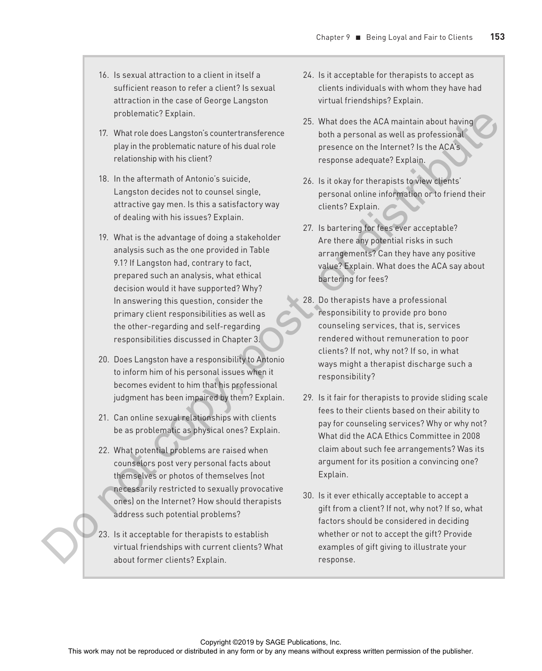- 16. Is sexual attraction to a client in itself a sufficient reason to refer a client? Is sexual attraction in the case of George Langston problematic? Explain.
- 17. What role does Langston's countertransference play in the problematic nature of his dual role relationship with his client?
- 18. In the aftermath of Antonio's suicide, Langston decides not to counsel single, attractive gay men. Is this a satisfactory way of dealing with his issues? Explain.
- 19. What is the advantage of doing a stakeholder analysis such as the one provided in Table 9.1? If Langston had, contrary to fact, prepared such an analysis, what ethical decision would it have supported? Why? In answering this question, consider the primary client responsibilities as well as the other-regarding and self-regarding responsibilities discussed in Chapter 3. The produced or the control or distributed in any first may not be reproduced to the publisher or distributed in any means with the publisher of the publisher of the publisher of the publisher of the publisher of the publi
	- 20. Does Langston have a responsibility to Antonio to inform him of his personal issues when it becomes evident to him that his professional judgment has been impaired by them? Explain.
	- 21. Can online sexual relationships with clients be as problematic as physical ones? Explain.
	- 22. What potential problems are raised when counselors post very personal facts about themselves or photos of themselves (not necessarily restricted to sexually provocative ones) on the Internet? How should therapists address such potential problems?
	- 23. Is it acceptable for therapists to establish virtual friendships with current clients? What about former clients? Explain.
- 24. Is it acceptable for therapists to accept as clients individuals with whom they have had virtual friendships? Explain.
- 25. What does the ACA maintain about having both a personal as well as professional presence on the Internet? Is the ACA's response adequate? Explain.
- 26. Is it okay for therapists to view clients' personal online information or to friend their clients? Explain.
- 27. Is bartering for fees ever acceptable? Are there any potential risks in such arrangements? Can they have any positive value? Explain. What does the ACA say about bartering for fees?
- 28. Do therapists have a professional responsibility to provide pro bono counseling services, that is, services rendered without remuneration to poor clients? If not, why not? If so, in what ways might a therapist discharge such a responsibility?
- 29. Is it fair for therapists to provide sliding scale fees to their clients based on their ability to pay for counseling services? Why or why not? What did the ACA Ethics Committee in 2008 claim about such fee arrangements? Was its argument for its position a convincing one? Explain.
- 30. Is it ever ethically acceptable to accept a gift from a client? If not, why not? If so, what factors should be considered in deciding whether or not to accept the gift? Provide examples of gift giving to illustrate your response.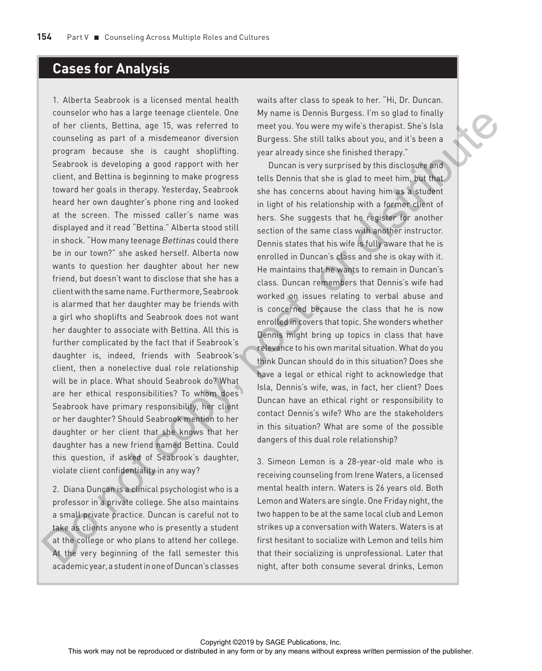### **Cases for Analysis**

1. Alberta Seabrook is a licensed mental health counselor who has a large teenage clientele. One of her clients, Bettina, age 15, was referred to counseling as part of a misdemeanor diversion program because she is caught shoplifting. Seabrook is developing a good rapport with her client, and Bettina is beginning to make progress toward her goals in therapy. Yesterday, Seabrook heard her own daughter's phone ring and looked at the screen. The missed caller's name was displayed and it read "Bettina." Alberta stood still in shock. "How many teenage *Bettinas* could there be in our town?" she asked herself. Alberta now wants to question her daughter about her new friend, but doesn't want to disclose that she has a client with the same name. Furthermore, Seabrook is alarmed that her daughter may be friends with a girl who shoplifts and Seabrook does not want her daughter to associate with Bettina. All this is further complicated by the fact that if Seabrook's daughter is, indeed, friends with Seabrook's client, then a nonelective dual role relationship will be in place. What should Seabrook do? What are her ethical responsibilities? To whom does Seabrook have primary responsibility, her client or her daughter? Should Seabrook mention to her daughter or her client that she knows that her daughter has a new friend named Bettina. Could this question, if asked of Seabrook's daughter, violate client confidentiality in any way? Controlling the large between the transitional controlling the species of the publisher and publishers and the means with the means with the any form of the publishers and the means with the publishers of the publishers w

2. Diana Duncan is a clinical psychologist who is a professor in a private college. She also maintains a small private practice. Duncan is careful not to take as clients anyone who is presently a student at the college or who plans to attend her college. At the very beginning of the fall semester this academic year, a student in one of Duncan's classes

waits after class to speak to her. "Hi, Dr. Duncan. My name is Dennis Burgess. I'm so glad to finally meet you. You were my wife's therapist. She's Isla Burgess. She still talks about you, and it's been a year already since she finished therapy."

Duncan is very surprised by this disclosure and tells Dennis that she is glad to meet him, but that she has concerns about having him as a student in light of his relationship with a former client of hers. She suggests that he register for another section of the same class with another instructor. Dennis states that his wife is fully aware that he is enrolled in Duncan's class and she is okay with it. He maintains that he wants to remain in Duncan's class. Duncan remembers that Dennis's wife had worked on issues relating to verbal abuse and is concerned because the class that he is now enrolled in covers that topic. She wonders whether Dennis might bring up topics in class that have relevance to his own marital situation. What do you think Duncan should do in this situation? Does she have a legal or ethical right to acknowledge that Isla, Dennis's wife, was, in fact, her client? Does Duncan have an ethical right or responsibility to contact Dennis's wife? Who are the stakeholders in this situation? What are some of the possible dangers of this dual role relationship?

3. Simeon Lemon is a 28-year-old male who is receiving counseling from Irene Waters, a licensed mental health intern. Waters is 26 years old. Both Lemon and Waters are single. One Friday night, the two happen to be at the same local club and Lemon strikes up a conversation with Waters. Waters is at first hesitant to socialize with Lemon and tells him that their socializing is unprofessional. Later that night, after both consume several drinks, Lemon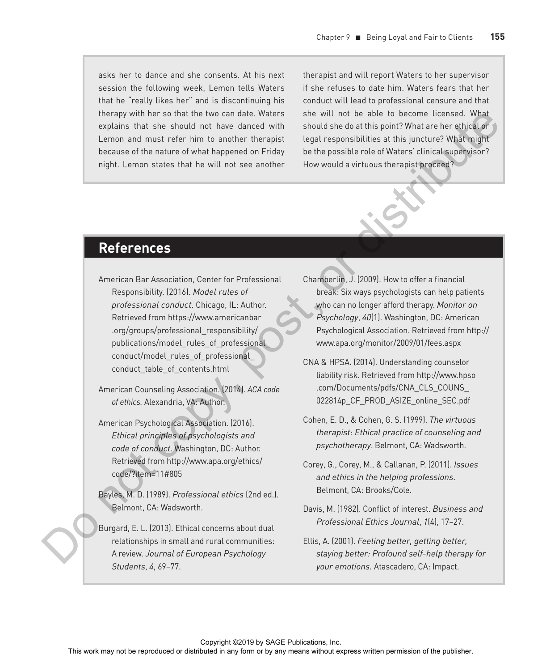asks her to dance and she consents. At his next session the following week, Lemon tells Waters that he "really likes her" and is discontinuing his therapy with her so that the two can date. Waters explains that she should not have danced with Lemon and must refer him to another therapist because of the nature of what happened on Friday night. Lemon states that he will not see another therapist and will report Waters to her supervisor if she refuses to date him. Waters fears that her conduct will lead to professional censure and that she will not be able to become licensed. What should she do at this point? What are her ethical or legal responsibilities at this juncture? What might be the possible role of Waters' clinical supervisor? How would a virtuous therapist proceed?

#### **References**

- American Bar Association, Center for Professional Responsibility. (2016). *Model rules of professional conduct*. Chicago, IL: Author. Retrieved from https://www.americanbar .org/groups/professional\_responsibility/ publications/model\_rules\_of\_professional\_ conduct/model\_rules\_of\_professional\_ conduct\_table\_of\_contents.html The reproduced or the relationship of the relationship or the selective permission or between  $\approx$  and the relationship of the relationship of the publisher of the publisher. This means were apply to the relationship of t
	- American Counseling Association. (2014). *ACA code of ethics.* Alexandria, VA: Author.
	- American Psychological Association. (2016). *Ethical principles of psychologists and code of conduct*. Washington, DC: Author. Retrieved from http://www.apa.org/ethics/ code/?item=11#805
	- Bayles, M. D. (1989). *Professional ethics* (2nd ed.). Belmont, CA: Wadsworth.
	- Burgard, E. L. (2013). Ethical concerns about dual relationships in small and rural communities: A review. *Journal of European Psychology Students*, *4*, 69–77.
- Chamberlin, J. (2009). How to offer a financial break: Six ways psychologists can help patients who can no longer afford therapy. *Monitor on Psychology*, *40*(1). Washington, DC: American Psychological Association. Retrieved from http:// www.apa.org/monitor/2009/01/fees.aspx
- CNA & HPSA. (2014). Understanding counselor liability risk. Retrieved from http://www.hpso .com/Documents/pdfs/CNA\_CLS\_COUNS\_ 022814p\_CF\_PROD\_ASIZE\_online\_SEC.pdf
- Cohen, E. D., & Cohen, G. S. (1999). *The virtuous therapist: Ethical practice of counseling and psychotherapy*. Belmont, CA: Wadsworth.
- Corey, G., Corey, M., & Callanan, P. (2011). *Issues and ethics in the helping professions*. Belmont, CA: Brooks/Cole.
- Davis, M. (1982). Conflict of interest. *Business and Professional Ethics Journal*, *1*(4), 17–27.
- Ellis, A. (2001). *Feeling better, getting better, staying better: Profound self-help therapy for your emotions.* Atascadero, CA: Impact.